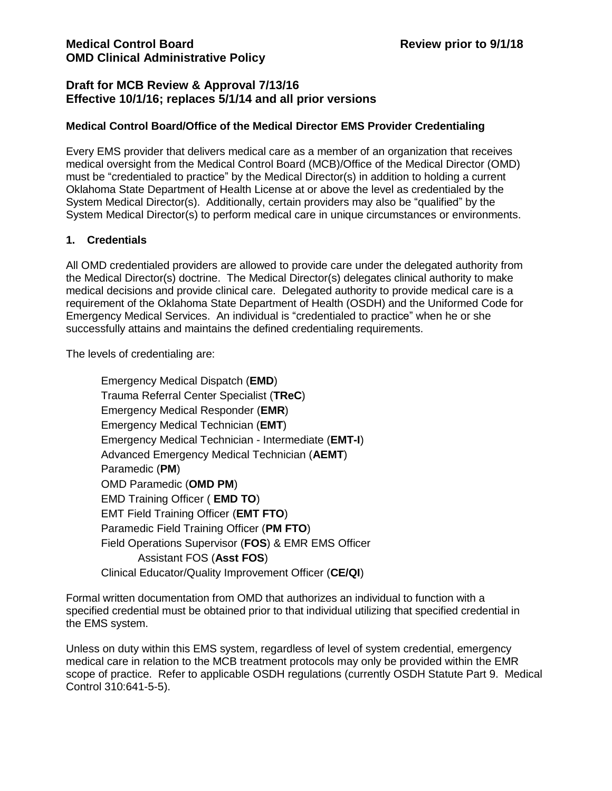### **Draft for MCB Review & Approval 7/13/16 Effective 10/1/16; replaces 5/1/14 and all prior versions**

#### **Medical Control Board/Office of the Medical Director EMS Provider Credentialing**

Every EMS provider that delivers medical care as a member of an organization that receives medical oversight from the Medical Control Board (MCB)/Office of the Medical Director (OMD) must be "credentialed to practice" by the Medical Director(s) in addition to holding a current Oklahoma State Department of Health License at or above the level as credentialed by the System Medical Director(s). Additionally, certain providers may also be "qualified" by the System Medical Director(s) to perform medical care in unique circumstances or environments.

#### **1. Credentials**

All OMD credentialed providers are allowed to provide care under the delegated authority from the Medical Director(s) doctrine. The Medical Director(s) delegates clinical authority to make medical decisions and provide clinical care. Delegated authority to provide medical care is a requirement of the Oklahoma State Department of Health (OSDH) and the Uniformed Code for Emergency Medical Services. An individual is "credentialed to practice" when he or she successfully attains and maintains the defined credentialing requirements.

The levels of credentialing are:

Emergency Medical Dispatch (**EMD**) Trauma Referral Center Specialist (**TReC**) Emergency Medical Responder (**EMR**) Emergency Medical Technician (**EMT**) Emergency Medical Technician - Intermediate (**EMT-I**) Advanced Emergency Medical Technician (**AEMT**) Paramedic (**PM**) OMD Paramedic (**OMD PM**) EMD Training Officer ( **EMD TO**) EMT Field Training Officer (**EMT FTO**) Paramedic Field Training Officer (**PM FTO**) Field Operations Supervisor (**FOS**) & EMR EMS Officer Assistant FOS (**Asst FOS**) Clinical Educator/Quality Improvement Officer (**CE/QI**)

Formal written documentation from OMD that authorizes an individual to function with a specified credential must be obtained prior to that individual utilizing that specified credential in the EMS system.

Unless on duty within this EMS system, regardless of level of system credential, emergency medical care in relation to the MCB treatment protocols may only be provided within the EMR scope of practice. Refer to applicable OSDH regulations (currently OSDH Statute Part 9. Medical Control 310:641-5-5).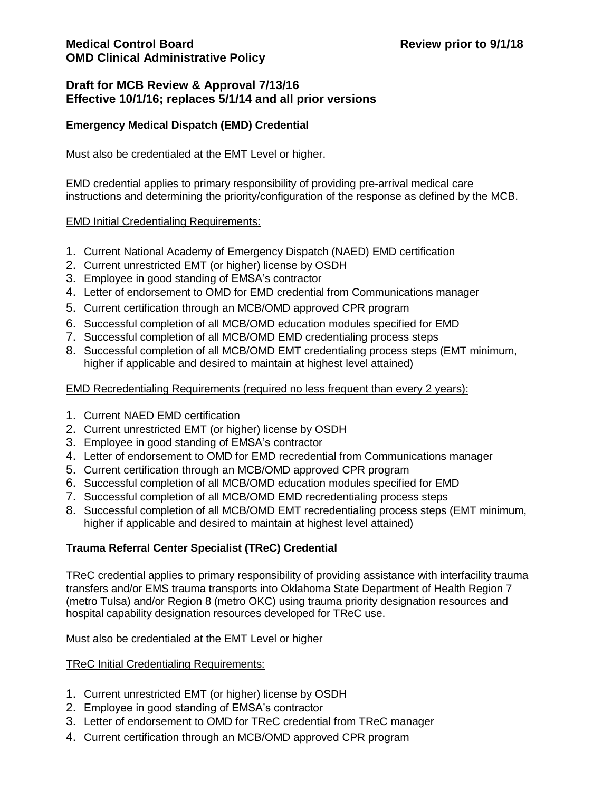### **Draft for MCB Review & Approval 7/13/16 Effective 10/1/16; replaces 5/1/14 and all prior versions**

### **Emergency Medical Dispatch (EMD) Credential**

Must also be credentialed at the EMT Level or higher.

EMD credential applies to primary responsibility of providing pre-arrival medical care instructions and determining the priority/configuration of the response as defined by the MCB.

### EMD Initial Credentialing Requirements:

- 1. Current National Academy of Emergency Dispatch (NAED) EMD certification
- 2. Current unrestricted EMT (or higher) license by OSDH
- 3. Employee in good standing of EMSA's contractor
- 4. Letter of endorsement to OMD for EMD credential from Communications manager
- 5. Current certification through an MCB/OMD approved CPR program
- 6. Successful completion of all MCB/OMD education modules specified for EMD
- 7. Successful completion of all MCB/OMD EMD credentialing process steps
- 8. Successful completion of all MCB/OMD EMT credentialing process steps (EMT minimum, higher if applicable and desired to maintain at highest level attained)

#### EMD Recredentialing Requirements (required no less frequent than every 2 years):

- 1. Current NAED EMD certification
- 2. Current unrestricted EMT (or higher) license by OSDH
- 3. Employee in good standing of EMSA's contractor
- 4. Letter of endorsement to OMD for EMD recredential from Communications manager
- 5. Current certification through an MCB/OMD approved CPR program
- 6. Successful completion of all MCB/OMD education modules specified for EMD
- 7. Successful completion of all MCB/OMD EMD recredentialing process steps
- 8. Successful completion of all MCB/OMD EMT recredentialing process steps (EMT minimum, higher if applicable and desired to maintain at highest level attained)

## **Trauma Referral Center Specialist (TReC) Credential**

TReC credential applies to primary responsibility of providing assistance with interfacility trauma transfers and/or EMS trauma transports into Oklahoma State Department of Health Region 7 (metro Tulsa) and/or Region 8 (metro OKC) using trauma priority designation resources and hospital capability designation resources developed for TReC use.

Must also be credentialed at the EMT Level or higher

#### TReC Initial Credentialing Requirements:

- 1. Current unrestricted EMT (or higher) license by OSDH
- 2. Employee in good standing of EMSA's contractor
- 3. Letter of endorsement to OMD for TReC credential from TReC manager
- 4. Current certification through an MCB/OMD approved CPR program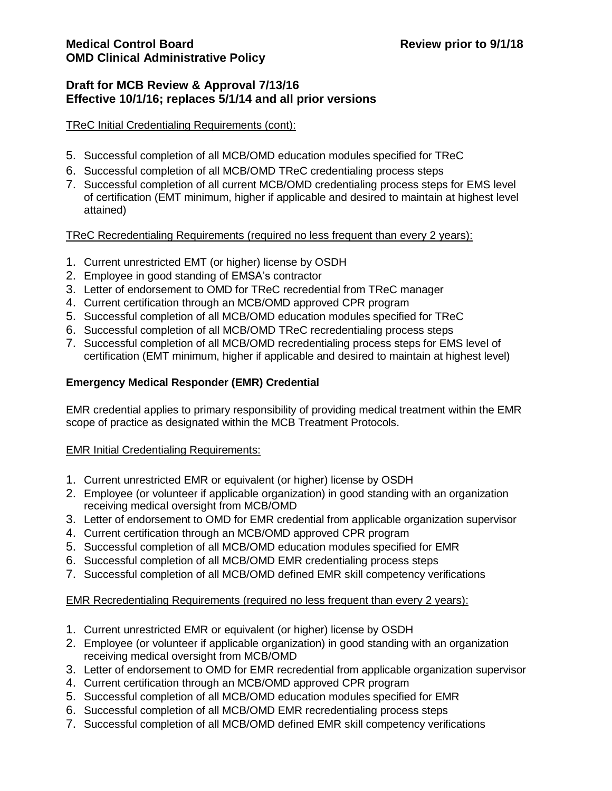## **Draft for MCB Review & Approval 7/13/16 Effective 10/1/16; replaces 5/1/14 and all prior versions**

### TReC Initial Credentialing Requirements (cont):

- 5. Successful completion of all MCB/OMD education modules specified for TReC
- 6. Successful completion of all MCB/OMD TReC credentialing process steps
- 7. Successful completion of all current MCB/OMD credentialing process steps for EMS level of certification (EMT minimum, higher if applicable and desired to maintain at highest level attained)

## TReC Recredentialing Requirements (required no less frequent than every 2 years):

- 1. Current unrestricted EMT (or higher) license by OSDH
- 2. Employee in good standing of EMSA's contractor
- 3. Letter of endorsement to OMD for TReC recredential from TReC manager
- 4. Current certification through an MCB/OMD approved CPR program
- 5. Successful completion of all MCB/OMD education modules specified for TReC
- 6. Successful completion of all MCB/OMD TReC recredentialing process steps
- 7. Successful completion of all MCB/OMD recredentialing process steps for EMS level of certification (EMT minimum, higher if applicable and desired to maintain at highest level)

# **Emergency Medical Responder (EMR) Credential**

EMR credential applies to primary responsibility of providing medical treatment within the EMR scope of practice as designated within the MCB Treatment Protocols.

## EMR Initial Credentialing Requirements:

- 1. Current unrestricted EMR or equivalent (or higher) license by OSDH
- 2. Employee (or volunteer if applicable organization) in good standing with an organization receiving medical oversight from MCB/OMD
- 3. Letter of endorsement to OMD for EMR credential from applicable organization supervisor
- 4. Current certification through an MCB/OMD approved CPR program
- 5. Successful completion of all MCB/OMD education modules specified for EMR
- 6. Successful completion of all MCB/OMD EMR credentialing process steps
- 7. Successful completion of all MCB/OMD defined EMR skill competency verifications

## EMR Recredentialing Requirements (required no less frequent than every 2 years):

- 1. Current unrestricted EMR or equivalent (or higher) license by OSDH
- 2. Employee (or volunteer if applicable organization) in good standing with an organization receiving medical oversight from MCB/OMD
- 3. Letter of endorsement to OMD for EMR recredential from applicable organization supervisor
- 4. Current certification through an MCB/OMD approved CPR program
- 5. Successful completion of all MCB/OMD education modules specified for EMR
- 6. Successful completion of all MCB/OMD EMR recredentialing process steps
- 7. Successful completion of all MCB/OMD defined EMR skill competency verifications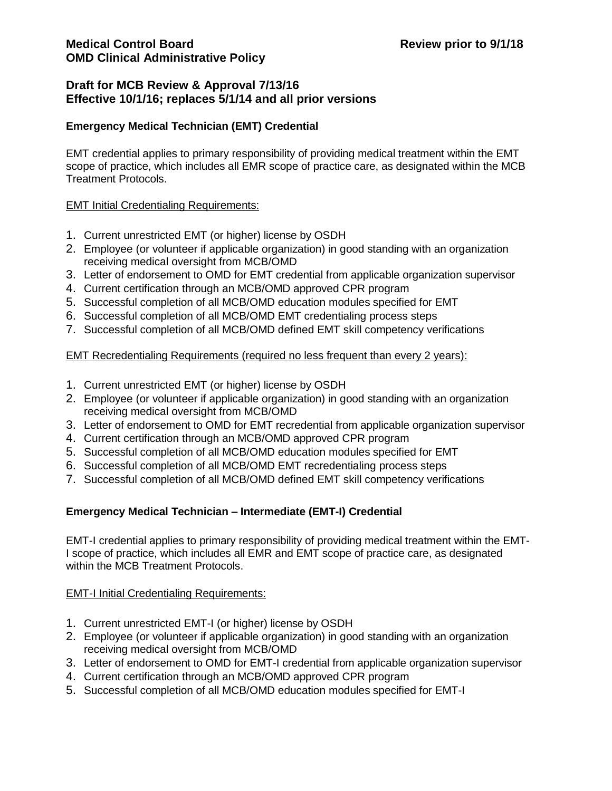#### **Emergency Medical Technician (EMT) Credential**

EMT credential applies to primary responsibility of providing medical treatment within the EMT scope of practice, which includes all EMR scope of practice care, as designated within the MCB Treatment Protocols.

#### EMT Initial Credentialing Requirements:

- 1. Current unrestricted EMT (or higher) license by OSDH
- 2. Employee (or volunteer if applicable organization) in good standing with an organization receiving medical oversight from MCB/OMD
- 3. Letter of endorsement to OMD for EMT credential from applicable organization supervisor
- 4. Current certification through an MCB/OMD approved CPR program
- 5. Successful completion of all MCB/OMD education modules specified for EMT
- 6. Successful completion of all MCB/OMD EMT credentialing process steps
- 7. Successful completion of all MCB/OMD defined EMT skill competency verifications

#### EMT Recredentialing Requirements (required no less frequent than every 2 years):

- 1. Current unrestricted EMT (or higher) license by OSDH
- 2. Employee (or volunteer if applicable organization) in good standing with an organization receiving medical oversight from MCB/OMD
- 3. Letter of endorsement to OMD for EMT recredential from applicable organization supervisor
- 4. Current certification through an MCB/OMD approved CPR program
- 5. Successful completion of all MCB/OMD education modules specified for EMT
- 6. Successful completion of all MCB/OMD EMT recredentialing process steps
- 7. Successful completion of all MCB/OMD defined EMT skill competency verifications

#### **Emergency Medical Technician – Intermediate (EMT-I) Credential**

EMT-I credential applies to primary responsibility of providing medical treatment within the EMT-I scope of practice, which includes all EMR and EMT scope of practice care, as designated within the MCB Treatment Protocols.

#### **EMT-I Initial Credentialing Requirements:**

- 1. Current unrestricted EMT-I (or higher) license by OSDH
- 2. Employee (or volunteer if applicable organization) in good standing with an organization receiving medical oversight from MCB/OMD
- 3. Letter of endorsement to OMD for EMT-I credential from applicable organization supervisor
- 4. Current certification through an MCB/OMD approved CPR program
- 5. Successful completion of all MCB/OMD education modules specified for EMT-I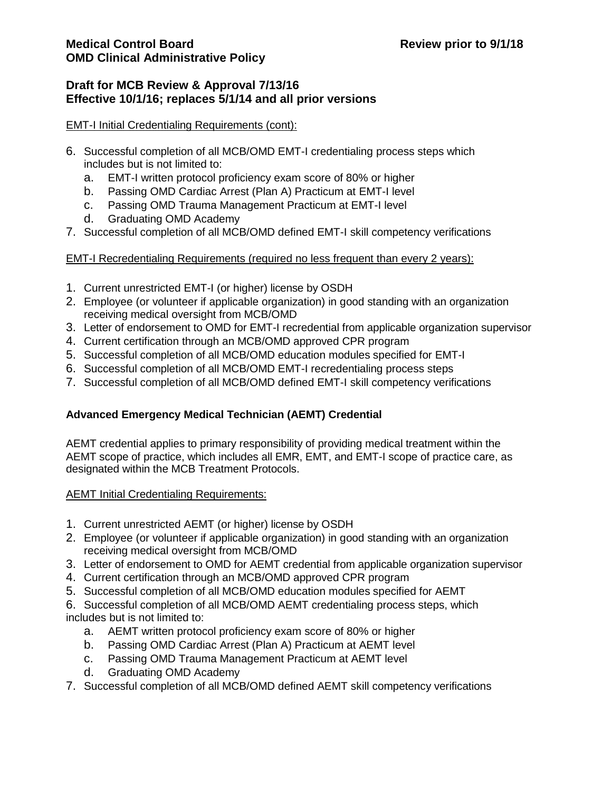### **Draft for MCB Review & Approval 7/13/16 Effective 10/1/16; replaces 5/1/14 and all prior versions**

#### EMT-I Initial Credentialing Requirements (cont):

- 6. Successful completion of all MCB/OMD EMT-I credentialing process steps which includes but is not limited to:
	- a. EMT-I written protocol proficiency exam score of 80% or higher
	- b. Passing OMD Cardiac Arrest (Plan A) Practicum at EMT-I level
	- c. Passing OMD Trauma Management Practicum at EMT-I level
	- d. Graduating OMD Academy
- 7. Successful completion of all MCB/OMD defined EMT-I skill competency verifications

#### EMT-I Recredentialing Requirements (required no less frequent than every 2 years):

- 1. Current unrestricted EMT-I (or higher) license by OSDH
- 2. Employee (or volunteer if applicable organization) in good standing with an organization receiving medical oversight from MCB/OMD
- 3. Letter of endorsement to OMD for EMT-I recredential from applicable organization supervisor
- 4. Current certification through an MCB/OMD approved CPR program
- 5. Successful completion of all MCB/OMD education modules specified for EMT-I
- 6. Successful completion of all MCB/OMD EMT-I recredentialing process steps
- 7. Successful completion of all MCB/OMD defined EMT-I skill competency verifications

## **Advanced Emergency Medical Technician (AEMT) Credential**

AEMT credential applies to primary responsibility of providing medical treatment within the AEMT scope of practice, which includes all EMR, EMT, and EMT-I scope of practice care, as designated within the MCB Treatment Protocols.

#### AEMT Initial Credentialing Requirements:

- 1. Current unrestricted AEMT (or higher) license by OSDH
- 2. Employee (or volunteer if applicable organization) in good standing with an organization receiving medical oversight from MCB/OMD
- 3. Letter of endorsement to OMD for AEMT credential from applicable organization supervisor
- 4. Current certification through an MCB/OMD approved CPR program
- 5. Successful completion of all MCB/OMD education modules specified for AEMT
- 6. Successful completion of all MCB/OMD AEMT credentialing process steps, which includes but is not limited to:
	- a. AEMT written protocol proficiency exam score of 80% or higher
	- b. Passing OMD Cardiac Arrest (Plan A) Practicum at AEMT level
	- c. Passing OMD Trauma Management Practicum at AEMT level
	- d. Graduating OMD Academy
- 7. Successful completion of all MCB/OMD defined AEMT skill competency verifications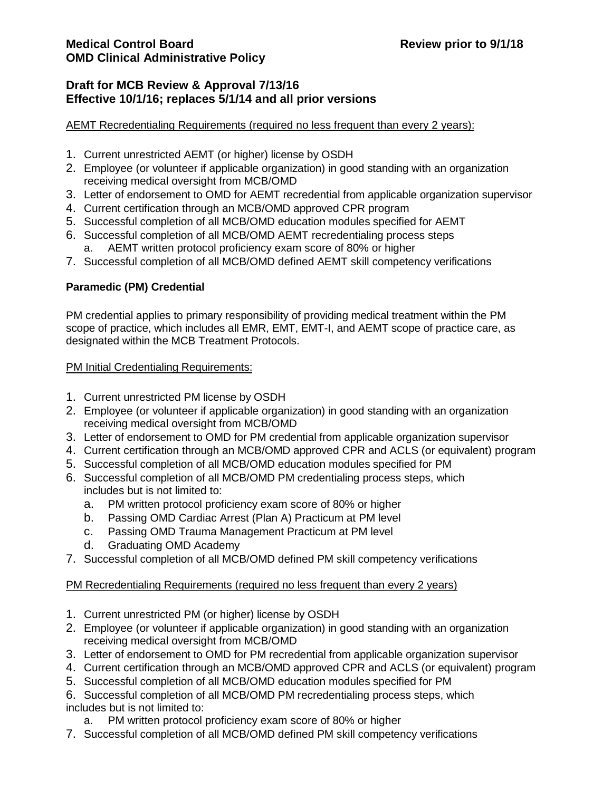#### AEMT Recredentialing Requirements (required no less frequent than every 2 years):

- 1. Current unrestricted AEMT (or higher) license by OSDH
- 2. Employee (or volunteer if applicable organization) in good standing with an organization receiving medical oversight from MCB/OMD
- 3. Letter of endorsement to OMD for AEMT recredential from applicable organization supervisor
- 4. Current certification through an MCB/OMD approved CPR program
- 5. Successful completion of all MCB/OMD education modules specified for AEMT
- 6. Successful completion of all MCB/OMD AEMT recredentialing process steps a. AEMT written protocol proficiency exam score of 80% or higher
- 7. Successful completion of all MCB/OMD defined AEMT skill competency verifications

#### **Paramedic (PM) Credential**

PM credential applies to primary responsibility of providing medical treatment within the PM scope of practice, which includes all EMR, EMT, EMT-I, and AEMT scope of practice care, as designated within the MCB Treatment Protocols.

#### PM Initial Credentialing Requirements:

- 1. Current unrestricted PM license by OSDH
- 2. Employee (or volunteer if applicable organization) in good standing with an organization receiving medical oversight from MCB/OMD
- 3. Letter of endorsement to OMD for PM credential from applicable organization supervisor
- 4. Current certification through an MCB/OMD approved CPR and ACLS (or equivalent) program
- 5. Successful completion of all MCB/OMD education modules specified for PM
- 6. Successful completion of all MCB/OMD PM credentialing process steps, which includes but is not limited to:
	- a. PM written protocol proficiency exam score of 80% or higher
	- b. Passing OMD Cardiac Arrest (Plan A) Practicum at PM level
	- c. Passing OMD Trauma Management Practicum at PM level
	- d. Graduating OMD Academy
- 7. Successful completion of all MCB/OMD defined PM skill competency verifications

#### PM Recredentialing Requirements (required no less frequent than every 2 years)

- 1. Current unrestricted PM (or higher) license by OSDH
- 2. Employee (or volunteer if applicable organization) in good standing with an organization receiving medical oversight from MCB/OMD
- 3. Letter of endorsement to OMD for PM recredential from applicable organization supervisor
- 4. Current certification through an MCB/OMD approved CPR and ACLS (or equivalent) program
- 5. Successful completion of all MCB/OMD education modules specified for PM
- 6. Successful completion of all MCB/OMD PM recredentialing process steps, which

### includes but is not limited to:

- a. PM written protocol proficiency exam score of 80% or higher
- 7. Successful completion of all MCB/OMD defined PM skill competency verifications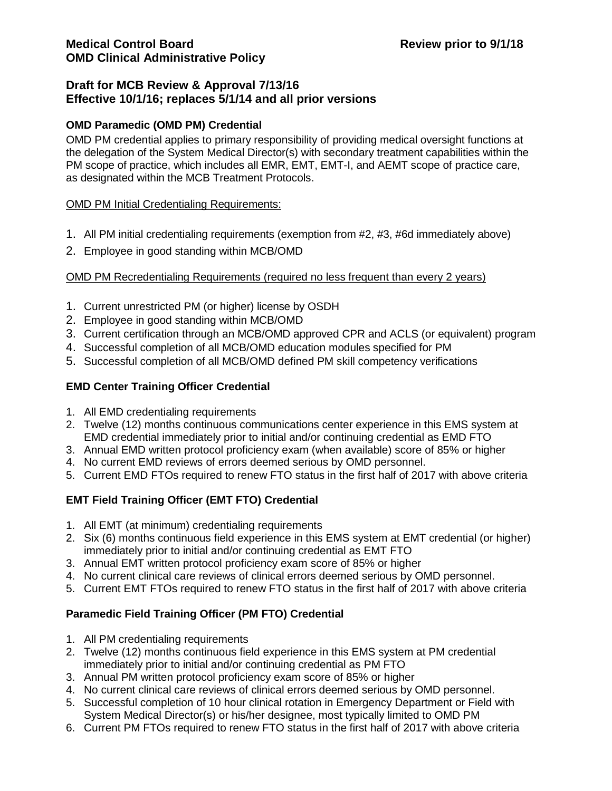#### **OMD Paramedic (OMD PM) Credential**

OMD PM credential applies to primary responsibility of providing medical oversight functions at the delegation of the System Medical Director(s) with secondary treatment capabilities within the PM scope of practice, which includes all EMR, EMT, EMT-I, and AEMT scope of practice care, as designated within the MCB Treatment Protocols.

#### OMD PM Initial Credentialing Requirements:

- 1. All PM initial credentialing requirements (exemption from #2, #3, #6d immediately above)
- 2. Employee in good standing within MCB/OMD

### OMD PM Recredentialing Requirements (required no less frequent than every 2 years)

- 1. Current unrestricted PM (or higher) license by OSDH
- 2. Employee in good standing within MCB/OMD
- 3. Current certification through an MCB/OMD approved CPR and ACLS (or equivalent) program
- 4. Successful completion of all MCB/OMD education modules specified for PM
- 5. Successful completion of all MCB/OMD defined PM skill competency verifications

### **EMD Center Training Officer Credential**

- 1. All EMD credentialing requirements
- 2. Twelve (12) months continuous communications center experience in this EMS system at EMD credential immediately prior to initial and/or continuing credential as EMD FTO
- 3. Annual EMD written protocol proficiency exam (when available) score of 85% or higher
- 4. No current EMD reviews of errors deemed serious by OMD personnel.
- 5. Current EMD FTOs required to renew FTO status in the first half of 2017 with above criteria

## **EMT Field Training Officer (EMT FTO) Credential**

- 1. All EMT (at minimum) credentialing requirements
- 2. Six (6) months continuous field experience in this EMS system at EMT credential (or higher) immediately prior to initial and/or continuing credential as EMT FTO
- 3. Annual EMT written protocol proficiency exam score of 85% or higher
- 4. No current clinical care reviews of clinical errors deemed serious by OMD personnel.
- 5. Current EMT FTOs required to renew FTO status in the first half of 2017 with above criteria

## **Paramedic Field Training Officer (PM FTO) Credential**

- 1. All PM credentialing requirements
- 2. Twelve (12) months continuous field experience in this EMS system at PM credential immediately prior to initial and/or continuing credential as PM FTO
- 3. Annual PM written protocol proficiency exam score of 85% or higher
- 4. No current clinical care reviews of clinical errors deemed serious by OMD personnel.
- 5. Successful completion of 10 hour clinical rotation in Emergency Department or Field with System Medical Director(s) or his/her designee, most typically limited to OMD PM
- 6. Current PM FTOs required to renew FTO status in the first half of 2017 with above criteria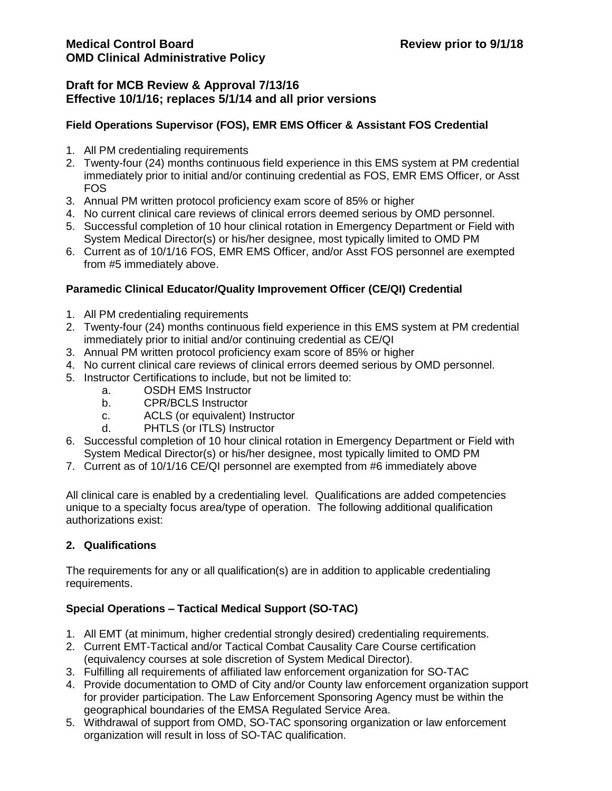## **Draft for MCB Review & Approval 7/13/16 Effective 10/1/16; replaces 5/1/14 and all prior versions**

## **Field Operations Supervisor (FOS), EMR EMS Officer & Assistant FOS Credential**

- 1. All PM credentialing requirements
- 2. Twenty-four (24) months continuous field experience in this EMS system at PM credential immediately prior to initial and/or continuing credential as FOS, EMR EMS Officer, or Asst FOS
- 3. Annual PM written protocol proficiency exam score of 85% or higher
- 4. No current clinical care reviews of clinical errors deemed serious by OMD personnel.
- 5. Successful completion of 10 hour clinical rotation in Emergency Department or Field with System Medical Director(s) or his/her designee, most typically limited to OMD PM
- 6. Current as of 10/1/16 FOS, EMR EMS Officer, and/or Asst FOS personnel are exempted from #5 immediately above.

### **Paramedic Clinical Educator/Quality Improvement Officer (CE/QI) Credential**

- 1. All PM credentialing requirements
- 2. Twenty-four (24) months continuous field experience in this EMS system at PM credential immediately prior to initial and/or continuing credential as CE/QI
- 3. Annual PM written protocol proficiency exam score of 85% or higher
- 4. No current clinical care reviews of clinical errors deemed serious by OMD personnel.
- 5. Instructor Certifications to include, but not be limited to:
	- a. OSDH EMS Instructor
	- b. CPR/BCLS Instructor
	- c. ACLS (or equivalent) Instructor
	- d. PHTLS (or ITLS) Instructor
- 6. Successful completion of 10 hour clinical rotation in Emergency Department or Field with System Medical Director(s) or his/her designee, most typically limited to OMD PM
- 7. Current as of 10/1/16 CE/QI personnel are exempted from #6 immediately above

All clinical care is enabled by a credentialing level. Qualifications are added competencies unique to a specialty focus area/type of operation. The following additional qualification authorizations exist:

## **2. Qualifications**

The requirements for any or all qualification(s) are in addition to applicable credentialing requirements.

## **Special Operations – Tactical Medical Support (SO-TAC)**

- 1. All EMT (at minimum, higher credential strongly desired) credentialing requirements.
- 2. Current EMT-Tactical and/or Tactical Combat Causality Care Course certification (equivalency courses at sole discretion of System Medical Director).
- 3. Fulfilling all requirements of affiliated law enforcement organization for SO-TAC
- 4. Provide documentation to OMD of City and/or County law enforcement organization support for provider participation. The Law Enforcement Sponsoring Agency must be within the geographical boundaries of the EMSA Regulated Service Area.
- 5. Withdrawal of support from OMD, SO-TAC sponsoring organization or law enforcement organization will result in loss of SO-TAC qualification.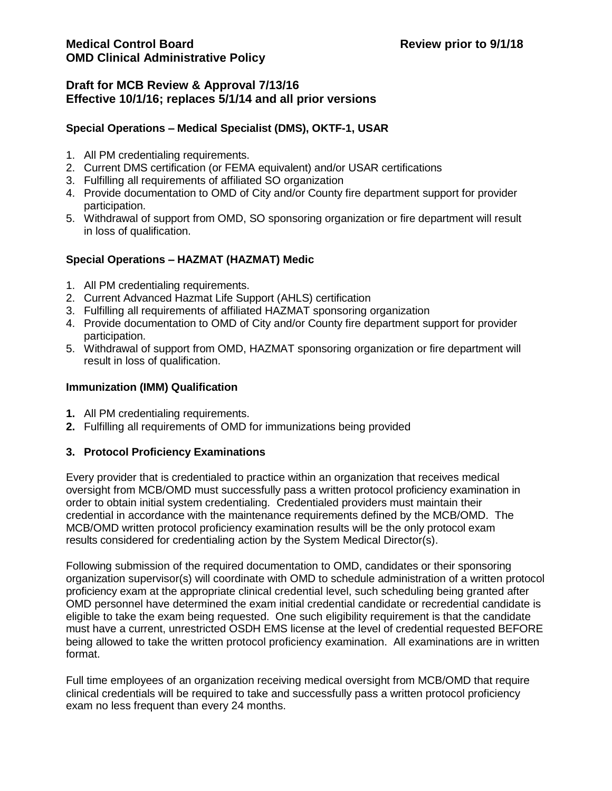## **Draft for MCB Review & Approval 7/13/16 Effective 10/1/16; replaces 5/1/14 and all prior versions**

## **Special Operations – Medical Specialist (DMS), OKTF-1, USAR**

- 1. All PM credentialing requirements.
- 2. Current DMS certification (or FEMA equivalent) and/or USAR certifications
- 3. Fulfilling all requirements of affiliated SO organization
- 4. Provide documentation to OMD of City and/or County fire department support for provider participation.
- 5. Withdrawal of support from OMD, SO sponsoring organization or fire department will result in loss of qualification.

## **Special Operations – HAZMAT (HAZMAT) Medic**

- 1. All PM credentialing requirements.
- 2. Current Advanced Hazmat Life Support (AHLS) certification
- 3. Fulfilling all requirements of affiliated HAZMAT sponsoring organization
- 4. Provide documentation to OMD of City and/or County fire department support for provider participation.
- 5. Withdrawal of support from OMD, HAZMAT sponsoring organization or fire department will result in loss of qualification.

### **Immunization (IMM) Qualification**

- **1.** All PM credentialing requirements.
- **2.** Fulfilling all requirements of OMD for immunizations being provided

## **3. Protocol Proficiency Examinations**

Every provider that is credentialed to practice within an organization that receives medical oversight from MCB/OMD must successfully pass a written protocol proficiency examination in order to obtain initial system credentialing. Credentialed providers must maintain their credential in accordance with the maintenance requirements defined by the MCB/OMD. The MCB/OMD written protocol proficiency examination results will be the only protocol exam results considered for credentialing action by the System Medical Director(s).

Following submission of the required documentation to OMD, candidates or their sponsoring organization supervisor(s) will coordinate with OMD to schedule administration of a written protocol proficiency exam at the appropriate clinical credential level, such scheduling being granted after OMD personnel have determined the exam initial credential candidate or recredential candidate is eligible to take the exam being requested. One such eligibility requirement is that the candidate must have a current, unrestricted OSDH EMS license at the level of credential requested BEFORE being allowed to take the written protocol proficiency examination. All examinations are in written format.

Full time employees of an organization receiving medical oversight from MCB/OMD that require clinical credentials will be required to take and successfully pass a written protocol proficiency exam no less frequent than every 24 months.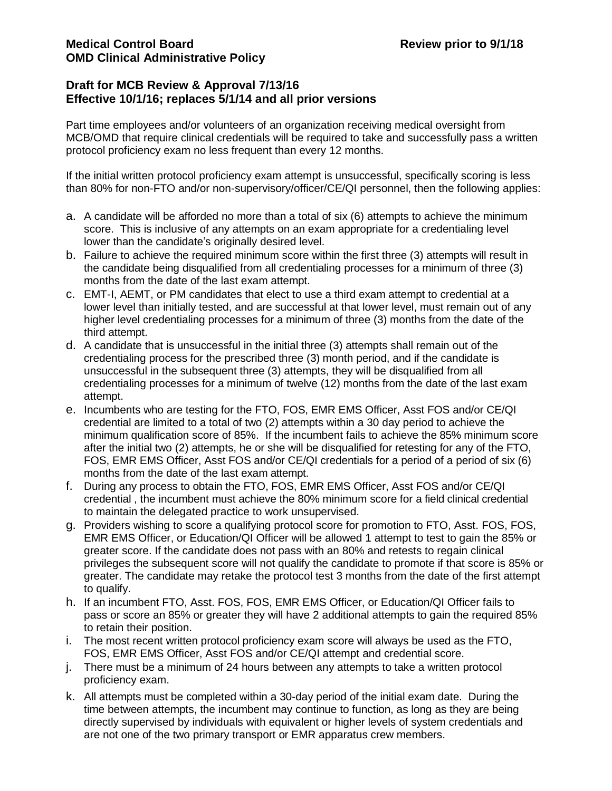## **Draft for MCB Review & Approval 7/13/16 Effective 10/1/16; replaces 5/1/14 and all prior versions**

Part time employees and/or volunteers of an organization receiving medical oversight from MCB/OMD that require clinical credentials will be required to take and successfully pass a written protocol proficiency exam no less frequent than every 12 months.

If the initial written protocol proficiency exam attempt is unsuccessful, specifically scoring is less than 80% for non-FTO and/or non-supervisory/officer/CE/QI personnel, then the following applies:

- a. A candidate will be afforded no more than a total of six (6) attempts to achieve the minimum score. This is inclusive of any attempts on an exam appropriate for a credentialing level lower than the candidate's originally desired level.
- b. Failure to achieve the required minimum score within the first three (3) attempts will result in the candidate being disqualified from all credentialing processes for a minimum of three (3) months from the date of the last exam attempt.
- c. EMT-I, AEMT, or PM candidates that elect to use a third exam attempt to credential at a lower level than initially tested, and are successful at that lower level, must remain out of any higher level credentialing processes for a minimum of three (3) months from the date of the third attempt.
- d. A candidate that is unsuccessful in the initial three (3) attempts shall remain out of the credentialing process for the prescribed three (3) month period, and if the candidate is unsuccessful in the subsequent three (3) attempts, they will be disqualified from all credentialing processes for a minimum of twelve (12) months from the date of the last exam attempt.
- e. Incumbents who are testing for the FTO, FOS, EMR EMS Officer, Asst FOS and/or CE/QI credential are limited to a total of two (2) attempts within a 30 day period to achieve the minimum qualification score of 85%. If the incumbent fails to achieve the 85% minimum score after the initial two (2) attempts, he or she will be disqualified for retesting for any of the FTO, FOS, EMR EMS Officer, Asst FOS and/or CE/QI credentials for a period of a period of six (6) months from the date of the last exam attempt.
- f. During any process to obtain the FTO, FOS, EMR EMS Officer, Asst FOS and/or CE/QI credential , the incumbent must achieve the 80% minimum score for a field clinical credential to maintain the delegated practice to work unsupervised.
- g. Providers wishing to score a qualifying protocol score for promotion to FTO, Asst. FOS, FOS, EMR EMS Officer, or Education/QI Officer will be allowed 1 attempt to test to gain the 85% or greater score. If the candidate does not pass with an 80% and retests to regain clinical privileges the subsequent score will not qualify the candidate to promote if that score is 85% or greater. The candidate may retake the protocol test 3 months from the date of the first attempt to qualify.
- h. If an incumbent FTO, Asst. FOS, FOS, EMR EMS Officer, or Education/QI Officer fails to pass or score an 85% or greater they will have 2 additional attempts to gain the required 85% to retain their position.
- i. The most recent written protocol proficiency exam score will always be used as the FTO, FOS, EMR EMS Officer, Asst FOS and/or CE/QI attempt and credential score.
- j. There must be a minimum of 24 hours between any attempts to take a written protocol proficiency exam.
- k. All attempts must be completed within a 30-day period of the initial exam date. During the time between attempts, the incumbent may continue to function, as long as they are being directly supervised by individuals with equivalent or higher levels of system credentials and are not one of the two primary transport or EMR apparatus crew members.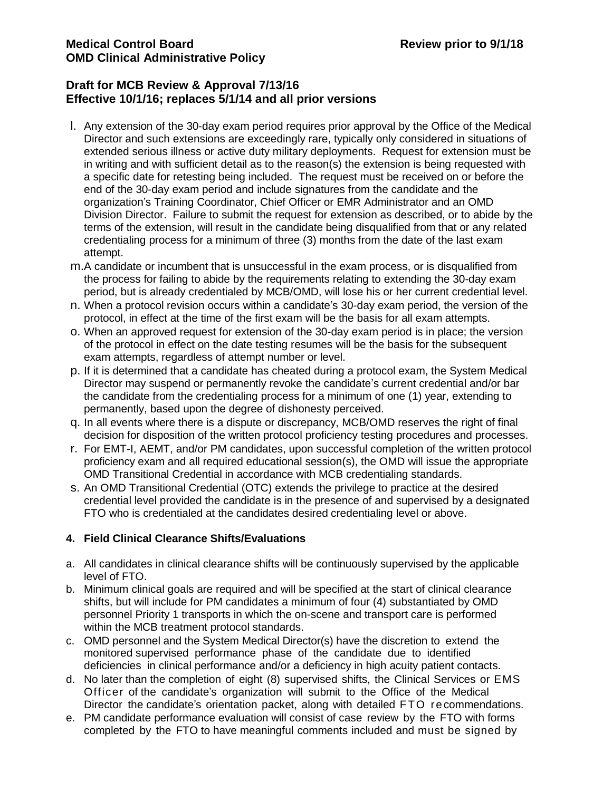## **Draft for MCB Review & Approval 7/13/16 Effective 10/1/16; replaces 5/1/14 and all prior versions**

- l. Any extension of the 30-day exam period requires prior approval by the Office of the Medical Director and such extensions are exceedingly rare, typically only considered in situations of extended serious illness or active duty military deployments. Request for extension must be in writing and with sufficient detail as to the reason(s) the extension is being requested with a specific date for retesting being included. The request must be received on or before the end of the 30-day exam period and include signatures from the candidate and the organization's Training Coordinator, Chief Officer or EMR Administrator and an OMD Division Director. Failure to submit the request for extension as described, or to abide by the terms of the extension, will result in the candidate being disqualified from that or any related credentialing process for a minimum of three (3) months from the date of the last exam attempt.
- m.A candidate or incumbent that is unsuccessful in the exam process, or is disqualified from the process for failing to abide by the requirements relating to extending the 30-day exam period, but is already credentialed by MCB/OMD, will lose his or her current credential level.
- n. When a protocol revision occurs within a candidate's 30-day exam period, the version of the protocol, in effect at the time of the first exam will be the basis for all exam attempts.
- o. When an approved request for extension of the 30-day exam period is in place; the version of the protocol in effect on the date testing resumes will be the basis for the subsequent exam attempts, regardless of attempt number or level.
- p. If it is determined that a candidate has cheated during a protocol exam, the System Medical Director may suspend or permanently revoke the candidate's current credential and/or bar the candidate from the credentialing process for a minimum of one (1) year, extending to permanently, based upon the degree of dishonesty perceived.
- q. In all events where there is a dispute or discrepancy, MCB/OMD reserves the right of final decision for disposition of the written protocol proficiency testing procedures and processes.
- r. For EMT-I, AEMT, and/or PM candidates, upon successful completion of the written protocol proficiency exam and all required educational session(s), the OMD will issue the appropriate OMD Transitional Credential in accordance with MCB credentialing standards.
- s. An OMD Transitional Credential (OTC) extends the privilege to practice at the desired credential level provided the candidate is in the presence of and supervised by a designated FTO who is credentialed at the candidates desired credentialing level or above.

# **4. Field Clinical Clearance Shifts/Evaluations**

- a. All candidates in clinical clearance shifts will be continuously supervised by the applicable level of FTO.
- b. Minimum clinical goals are required and will be specified at the start of clinical clearance shifts, but will include for PM candidates a minimum of four (4) substantiated by OMD personnel Priority 1 transports in which the on-scene and transport care is performed within the MCB treatment protocol standards.
- c. OMD personnel and the System Medical Director(s) have the discretion to extend the monitored supervised performance phase of the candidate due to identified deficiencies in clinical performance and/or a deficiency in high acuity patient contacts.
- d. No later than the completion of eight (8) supervised shifts, the Clinical Services or EMS Officer of the candidate's organization will submit to the Office of the Medical Director the candidate's orientation packet, along with detailed FTO recommendations.
- e. PM candidate performance evaluation will consist of case review by the FTO with forms completed by the FTO to have meaningful comments included and must be signed by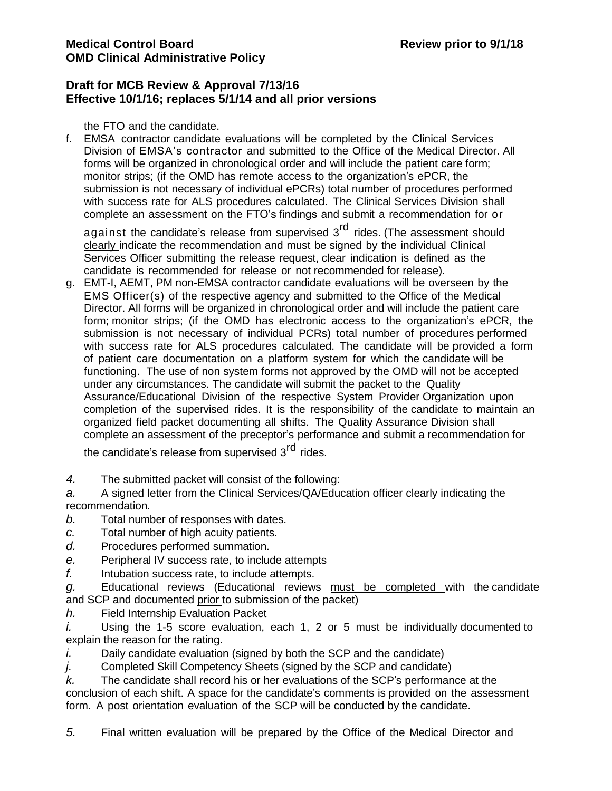### **Draft for MCB Review & Approval 7/13/16 Effective 10/1/16; replaces 5/1/14 and all prior versions**

the FTO and the candidate.

f. EMSA contractor candidate evaluations will be completed by the Clinical Services Division of EMSA's contractor and submitted to the Office of the Medical Director. All forms will be organized in chronological order and will include the patient care form; monitor strips; (if the OMD has remote access to the organization's ePCR, the submission is not necessary of individual ePCRs) total number of procedures performed with success rate for ALS procedures calculated. The Clinical Services Division shall complete an assessment on the FTO's findings and submit a recommendation for or

against the candidate's release from supervised 3<sup>rd</sup> rides. (The assessment should clearly indicate the recommendation and must be signed by the individual Clinical Services Officer submitting the release request, clear indication is defined as the candidate is recommended for release or not recommended for release).

g. EMT-I, AEMT, PM non-EMSA contractor candidate evaluations will be overseen by the EMS Officer(s) of the respective agency and submitted to the Office of the Medical Director. All forms will be organized in chronological order and will include the patient care form; monitor strips; (if the OMD has electronic access to the organization's ePCR, the submission is not necessary of individual PCRs) total number of procedures performed with success rate for ALS procedures calculated. The candidate will be provided a form of patient care documentation on a platform system for which the candidate will be functioning. The use of non system forms not approved by the OMD will not be accepted under any circumstances. The candidate will submit the packet to the Quality Assurance/Educational Division of the respective System Provider Organization upon completion of the supervised rides. It is the responsibility of the candidate to maintain an organized field packet documenting all shifts. The Quality Assurance Division shall complete an assessment of the preceptor's performance and submit a recommendation for

the candidate's release from supervised 3<sup>rd</sup> rides.

*4.* The submitted packet will consist of the following:

*a.* A signed letter from the Clinical Services/QA/Education officer clearly indicating the recommendation.

- *b.* Total number of responses with dates.
- *c.* Total number of high acuity patients.
- *d.* Procedures performed summation.
- *e.* Peripheral IV success rate, to include attempts
- *f.* Intubation success rate, to include attempts.

*g.* Educational reviews (Educational reviews must be completed with the candidate and SCP and documented prior to submission of the packet)

*h.* Field Internship Evaluation Packet

*i.* Using the 1-5 score evaluation, each 1, 2 or 5 must be individually documented to explain the reason for the rating.

*i.* Daily candidate evaluation (signed by both the SCP and the candidate)

*j.* Completed Skill Competency Sheets (signed by the SCP and candidate)

*k.* The candidate shall record his or her evaluations of the SCP's performance at the conclusion of each shift. A space for the candidate's comments is provided on the assessment form. A post orientation evaluation of the SCP will be conducted by the candidate.

*5.* Final written evaluation will be prepared by the Office of the Medical Director and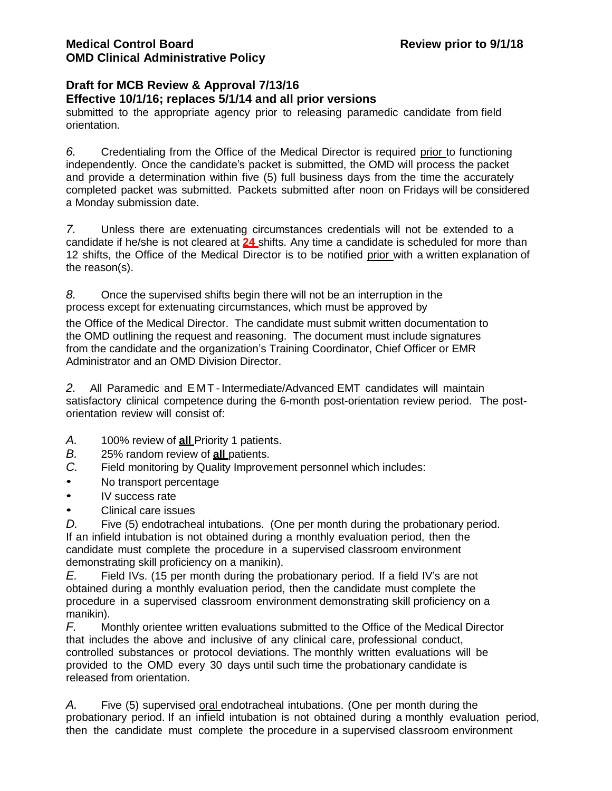# **Draft for MCB Review & Approval 7/13/16**

**Effective 10/1/16; replaces 5/1/14 and all prior versions**

submitted to the appropriate agency prior to releasing paramedic candidate from field orientation.

*6.* Credentialing from the Office of the Medical Director is required prior to functioning independently. Once the candidate's packet is submitted, the OMD will process the packet and provide a determination within five (5) full business days from the time the accurately completed packet was submitted. Packets submitted after noon on Fridays will be considered a Monday submission date.

*7.* Unless there are extenuating circumstances credentials will not be extended to a candidate if he/she is not cleared at **24** shifts. Any time a candidate is scheduled for more than 12 shifts, the Office of the Medical Director is to be notified prior with a written explanation of the reason(s).

*8.* Once the supervised shifts begin there will not be an interruption in the process except for extenuating circumstances, which must be approved by

the Office of the Medical Director. The candidate must submit written documentation to the OMD outlining the request and reasoning. The document must include signatures from the candidate and the organization's Training Coordinator, Chief Officer or EMR Administrator and an OMD Division Director.

2. All Paramedic and EMT-Intermediate/Advanced EMT candidates will maintain satisfactory clinical competence during the 6-month post-orientation review period. The postorientation review will consist of:

- *A.* 100% review of **all** Priority 1 patients.
- *B.* 25% random review of **all** patients.
- *C.* Field monitoring by Quality Improvement personnel which includes:
- No transport percentage
- IV success rate
- Clinical care issues

*D.* Five (5) endotracheal intubations. (One per month during the probationary period. If an infield intubation is not obtained during a monthly evaluation period, then the candidate must complete the procedure in a supervised classroom environment demonstrating skill proficiency on a manikin).

*E.* Field IVs. (15 per month during the probationary period. If a field IV's are not obtained during a monthly evaluation period, then the candidate must complete the procedure in a supervised classroom environment demonstrating skill proficiency on a manikin).

*F.* Monthly orientee written evaluations submitted to the Office of the Medical Director that includes the above and inclusive of any clinical care, professional conduct, controlled substances or protocol deviations. The monthly written evaluations will be provided to the OMD every 30 days until such time the probationary candidate is released from orientation.

*A.* Five (5) supervised oral endotracheal intubations. (One per month during the probationary period. If an infield intubation is not obtained during a monthly evaluation period, then the candidate must complete the procedure in a supervised classroom environment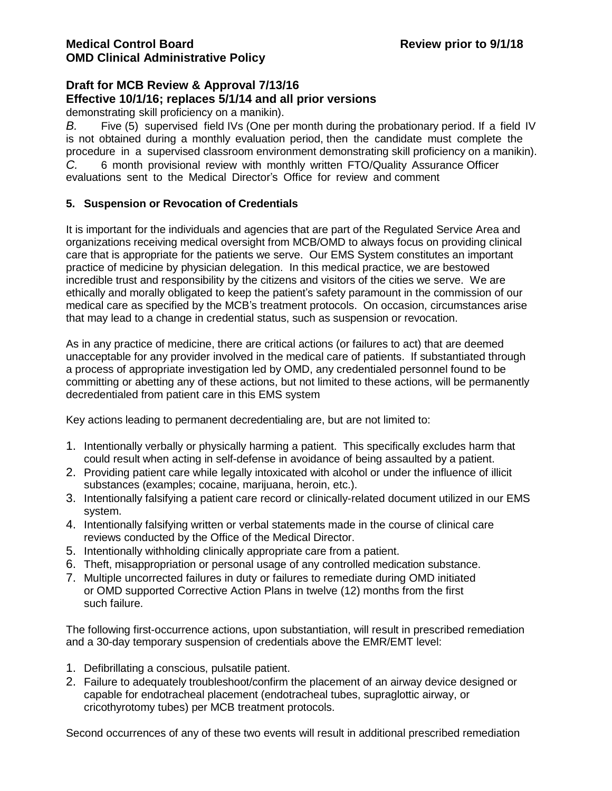demonstrating skill proficiency on a manikin).

*B.* Five (5) supervised field IVs (One per month during the probationary period. If a field IV is not obtained during a monthly evaluation period, then the candidate must complete the procedure in a supervised classroom environment demonstrating skill proficiency on a manikin). *C.* 6 month provisional review with monthly written FTO/Quality Assurance Officer evaluations sent to the Medical Director's Office for review and comment

### **5. Suspension or Revocation of Credentials**

It is important for the individuals and agencies that are part of the Regulated Service Area and organizations receiving medical oversight from MCB/OMD to always focus on providing clinical care that is appropriate for the patients we serve. Our EMS System constitutes an important practice of medicine by physician delegation. In this medical practice, we are bestowed incredible trust and responsibility by the citizens and visitors of the cities we serve. We are ethically and morally obligated to keep the patient's safety paramount in the commission of our medical care as specified by the MCB's treatment protocols. On occasion, circumstances arise that may lead to a change in credential status, such as suspension or revocation.

As in any practice of medicine, there are critical actions (or failures to act) that are deemed unacceptable for any provider involved in the medical care of patients. If substantiated through a process of appropriate investigation led by OMD, any credentialed personnel found to be committing or abetting any of these actions, but not limited to these actions, will be permanently decredentialed from patient care in this EMS system

Key actions leading to permanent decredentialing are, but are not limited to:

- 1. Intentionally verbally or physically harming a patient. This specifically excludes harm that could result when acting in self-defense in avoidance of being assaulted by a patient.
- 2. Providing patient care while legally intoxicated with alcohol or under the influence of illicit substances (examples; cocaine, marijuana, heroin, etc.).
- 3. Intentionally falsifying a patient care record or clinically-related document utilized in our EMS system.
- 4. Intentionally falsifying written or verbal statements made in the course of clinical care reviews conducted by the Office of the Medical Director.
- 5. Intentionally withholding clinically appropriate care from a patient.
- 6. Theft, misappropriation or personal usage of any controlled medication substance.
- 7. Multiple uncorrected failures in duty or failures to remediate during OMD initiated or OMD supported Corrective Action Plans in twelve (12) months from the first such failure.

The following first-occurrence actions, upon substantiation, will result in prescribed remediation and a 30-day temporary suspension of credentials above the EMR/EMT level:

- 1. Defibrillating a conscious, pulsatile patient.
- 2. Failure to adequately troubleshoot/confirm the placement of an airway device designed or capable for endotracheal placement (endotracheal tubes, supraglottic airway, or cricothyrotomy tubes) per MCB treatment protocols.

Second occurrences of any of these two events will result in additional prescribed remediation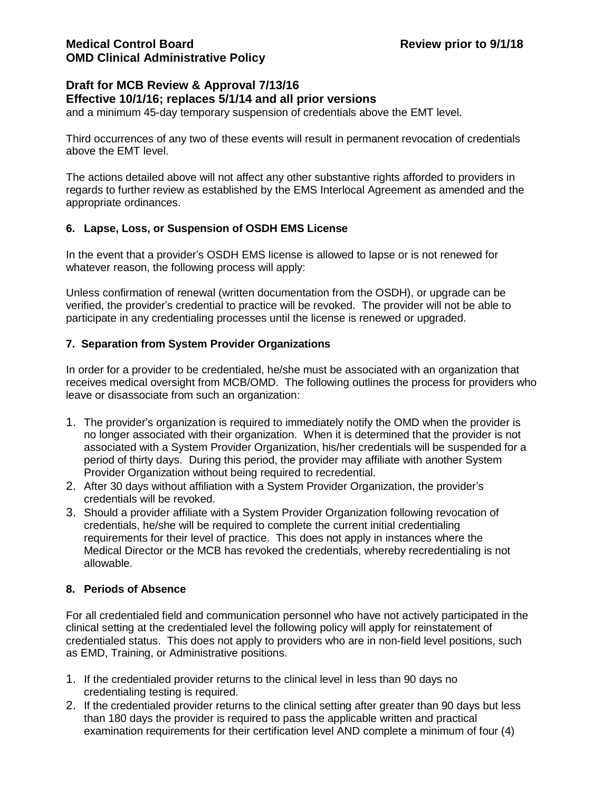# **Draft for MCB Review & Approval 7/13/16**

### **Effective 10/1/16; replaces 5/1/14 and all prior versions**

and a minimum 45-day temporary suspension of credentials above the EMT level.

Third occurrences of any two of these events will result in permanent revocation of credentials above the EMT level.

The actions detailed above will not affect any other substantive rights afforded to providers in regards to further review as established by the EMS Interlocal Agreement as amended and the appropriate ordinances.

## **6. Lapse, Loss, or Suspension of OSDH EMS License**

In the event that a provider's OSDH EMS license is allowed to lapse or is not renewed for whatever reason, the following process will apply:

Unless confirmation of renewal (written documentation from the OSDH), or upgrade can be verified, the provider's credential to practice will be revoked. The provider will not be able to participate in any credentialing processes until the license is renewed or upgraded.

# **7. Separation from System Provider Organizations**

In order for a provider to be credentialed, he/she must be associated with an organization that receives medical oversight from MCB/OMD. The following outlines the process for providers who leave or disassociate from such an organization:

- 1. The provider's organization is required to immediately notify the OMD when the provider is no longer associated with their organization. When it is determined that the provider is not associated with a System Provider Organization, his/her credentials will be suspended for a period of thirty days. During this period, the provider may affiliate with another System Provider Organization without being required to recredential.
- 2. After 30 days without affiliation with a System Provider Organization, the provider's credentials will be revoked.
- 3. Should a provider affiliate with a System Provider Organization following revocation of credentials, he/she will be required to complete the current initial credentialing requirements for their level of practice. This does not apply in instances where the Medical Director or the MCB has revoked the credentials, whereby recredentialing is not allowable.

## **8. Periods of Absence**

For all credentialed field and communication personnel who have not actively participated in the clinical setting at the credentialed level the following policy will apply for reinstatement of credentialed status. This does not apply to providers who are in non-field level positions, such as EMD, Training, or Administrative positions.

- 1. If the credentialed provider returns to the clinical level in less than 90 days no credentialing testing is required.
- 2. If the credentialed provider returns to the clinical setting after greater than 90 days but less than 180 days the provider is required to pass the applicable written and practical examination requirements for their certification level AND complete a minimum of four (4)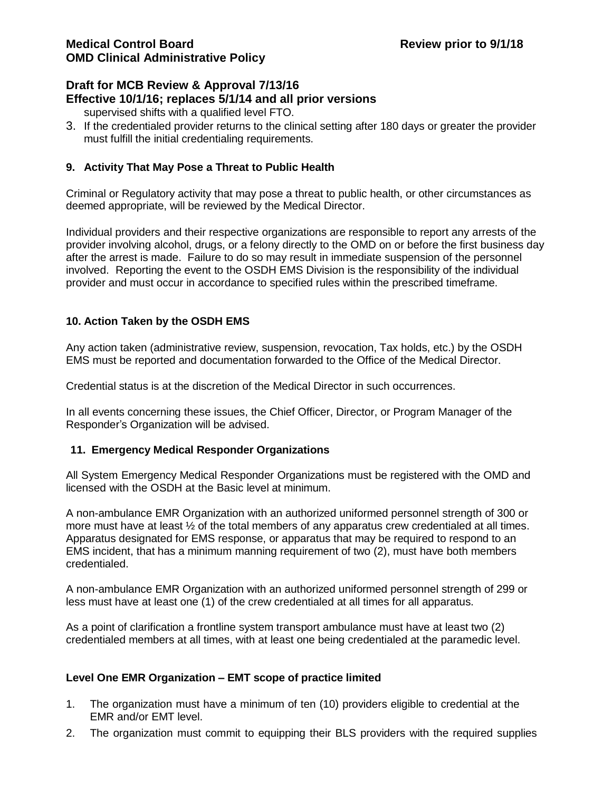# **Draft for MCB Review & Approval 7/13/16 Effective 10/1/16; replaces 5/1/14 and all prior versions**

- supervised shifts with a qualified level FTO.
- 3. If the credentialed provider returns to the clinical setting after 180 days or greater the provider must fulfill the initial credentialing requirements.

## **9. Activity That May Pose a Threat to Public Health**

Criminal or Regulatory activity that may pose a threat to public health, or other circumstances as deemed appropriate, will be reviewed by the Medical Director.

Individual providers and their respective organizations are responsible to report any arrests of the provider involving alcohol, drugs, or a felony directly to the OMD on or before the first business day after the arrest is made. Failure to do so may result in immediate suspension of the personnel involved. Reporting the event to the OSDH EMS Division is the responsibility of the individual provider and must occur in accordance to specified rules within the prescribed timeframe.

## **10. Action Taken by the OSDH EMS**

Any action taken (administrative review, suspension, revocation, Tax holds, etc.) by the OSDH EMS must be reported and documentation forwarded to the Office of the Medical Director.

Credential status is at the discretion of the Medical Director in such occurrences.

In all events concerning these issues, the Chief Officer, Director, or Program Manager of the Responder's Organization will be advised.

## **11. Emergency Medical Responder Organizations**

All System Emergency Medical Responder Organizations must be registered with the OMD and licensed with the OSDH at the Basic level at minimum.

A non-ambulance EMR Organization with an authorized uniformed personnel strength of 300 or more must have at least ½ of the total members of any apparatus crew credentialed at all times. Apparatus designated for EMS response, or apparatus that may be required to respond to an EMS incident, that has a minimum manning requirement of two (2), must have both members credentialed.

A non-ambulance EMR Organization with an authorized uniformed personnel strength of 299 or less must have at least one (1) of the crew credentialed at all times for all apparatus.

As a point of clarification a frontline system transport ambulance must have at least two (2) credentialed members at all times, with at least one being credentialed at the paramedic level.

## **Level One EMR Organization – EMT scope of practice limited**

- 1. The organization must have a minimum of ten (10) providers eligible to credential at the EMR and/or EMT level.
- 2. The organization must commit to equipping their BLS providers with the required supplies